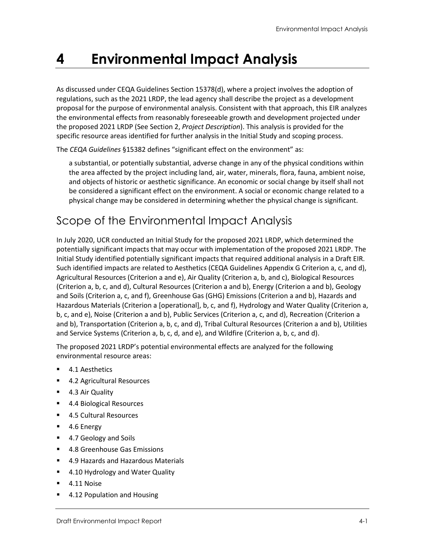# **4 Environmental Impact Analysis**

As discussed under CEQA Guidelines Section 15378(d), where a project involves the adoption of regulations, such as the 2021 LRDP, the lead agency shall describe the project as a development proposal for the purpose of environmental analysis. Consistent with that approach, this EIR analyzes the environmental effects from reasonably foreseeable growth and development projected under the proposed 2021 LRDP (See Section 2, *Project Description*). This analysis is provided for the specific resource areas identified for further analysis in the Initial Study and scoping process.

The *CEQA Guidelines* §15382 defines "significant effect on the environment" as:

a substantial, or potentially substantial, adverse change in any of the physical conditions within the area affected by the project including land, air, water, minerals, flora, fauna, ambient noise, and objects of historic or aesthetic significance. An economic or social change by itself shall not be considered a significant effect on the environment. A social or economic change related to a physical change may be considered in determining whether the physical change is significant.

# Scope of the Environmental Impact Analysis

In July 2020, UCR conducted an Initial Study for the proposed 2021 LRDP, which determined the potentially significant impacts that may occur with implementation of the proposed 2021 LRDP. The Initial Study identified potentially significant impacts that required additional analysis in a Draft EIR. Such identified impacts are related to Aesthetics (CEQA Guidelines Appendix G Criterion a, c, and d), Agricultural Resources (Criterion a and e), Air Quality (Criterion a, b, and c), Biological Resources (Criterion a, b, c, and d), Cultural Resources (Criterion a and b), Energy (Criterion a and b), Geology and Soils (Criterion a, c, and f), Greenhouse Gas (GHG) Emissions (Criterion a and b), Hazards and Hazardous Materials (Criterion a [operational], b, c, and f), Hydrology and Water Quality (Criterion a, b, c, and e), Noise (Criterion a and b), Public Services (Criterion a, c, and d), Recreation (Criterion a and b), Transportation (Criterion a, b, c, and d), Tribal Cultural Resources (Criterion a and b), Utilities and Service Systems (Criterion a, b, c, d, and e), and Wildfire (Criterion a, b, c, and d).

The proposed 2021 LRDP's potential environmental effects are analyzed for the following environmental resource areas:

- **4.1 Aesthetics**
- 4.2 Agricultural Resources
- **4.3 Air Quality**
- 4.4 Biological Resources
- 4.5 Cultural Resources
- 4.6 Energy
- 4.7 Geology and Soils
- 4.8 Greenhouse Gas Emissions
- 4.9 Hazards and Hazardous Materials
- 4.10 Hydrology and Water Quality
- 4.11 Noise
- 4.12 Population and Housing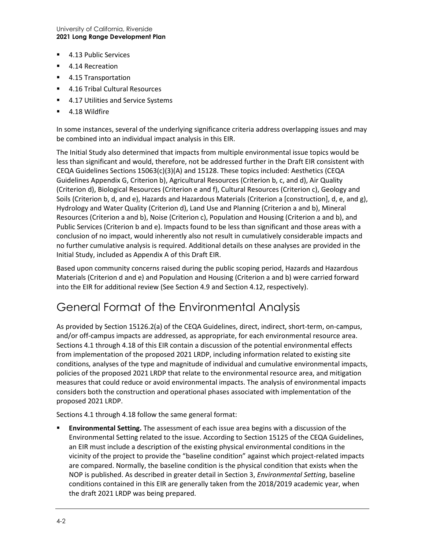University of California, Riverside **2021 Long Range Development Plan**

- 4.13 Public Services
- 4.14 Recreation
- 4.15 Transportation
- 4.16 Tribal Cultural Resources
- 4.17 Utilities and Service Systems
- 4.18 Wildfire

In some instances, several of the underlying significance criteria address overlapping issues and may be combined into an individual impact analysis in this EIR.

The Initial Study also determined that impacts from multiple environmental issue topics would be less than significant and would, therefore, not be addressed further in the Draft EIR consistent with CEQA Guidelines Sections 15063(c)(3)(A) and 15128. These topics included: Aesthetics (CEQA Guidelines Appendix G, Criterion b), Agricultural Resources (Criterion b, c, and d), Air Quality (Criterion d), Biological Resources (Criterion e and f), Cultural Resources (Criterion c), Geology and Soils (Criterion b, d, and e), Hazards and Hazardous Materials (Criterion a [construction], d, e, and g), Hydrology and Water Quality (Criterion d), Land Use and Planning (Criterion a and b), Mineral Resources (Criterion a and b), Noise (Criterion c), Population and Housing (Criterion a and b), and Public Services (Criterion b and e). Impacts found to be less than significant and those areas with a conclusion of no impact, would inherently also not result in cumulatively considerable impacts and no further cumulative analysis is required. Additional details on these analyses are provided in the Initial Study, included as Appendix A of this Draft EIR.

Based upon community concerns raised during the public scoping period, Hazards and Hazardous Materials (Criterion d and e) and Population and Housing (Criterion a and b) were carried forward into the EIR for additional review (See Section 4.9 and Section 4.12, respectively).

# General Format of the Environmental Analysis

As provided by Section 15126.2(a) of the CEQA Guidelines, direct, indirect, short-term, on-campus, and/or off-campus impacts are addressed, as appropriate, for each environmental resource area. Sections 4.1 through 4.18 of this EIR contain a discussion of the potential environmental effects from implementation of the proposed 2021 LRDP, including information related to existing site conditions, analyses of the type and magnitude of individual and cumulative environmental impacts, policies of the proposed 2021 LRDP that relate to the environmental resource area, and mitigation measures that could reduce or avoid environmental impacts. The analysis of environmental impacts considers both the construction and operational phases associated with implementation of the proposed 2021 LRDP.

Sections 4.1 through 4.18 follow the same general format:

 **Environmental Setting.** The assessment of each issue area begins with a discussion of the Environmental Setting related to the issue. According to Section 15125 of the CEQA Guidelines, an EIR must include a description of the existing physical environmental conditions in the vicinity of the project to provide the "baseline condition" against which project-related impacts are compared. Normally, the baseline condition is the physical condition that exists when the NOP is published. As described in greater detail in Section 3, *Environmental Setting*, baseline conditions contained in this EIR are generally taken from the 2018/2019 academic year, when the draft 2021 LRDP was being prepared.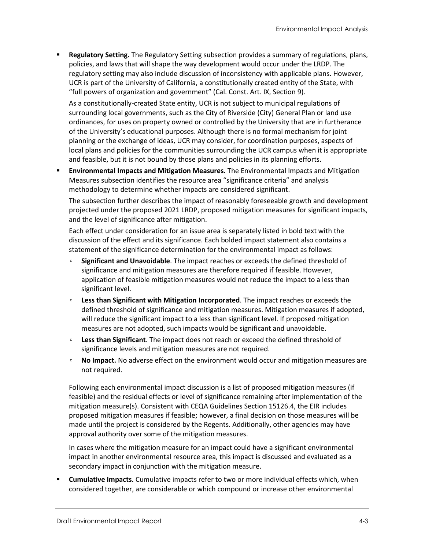**Regulatory Setting.** The Regulatory Setting subsection provides a summary of regulations, plans, policies, and laws that will shape the way development would occur under the LRDP. The regulatory setting may also include discussion of inconsistency with applicable plans. However, UCR is part of the University of California, a constitutionally created entity of the State, with "full powers of organization and government" (Cal. Const. Art. IX, Section 9).

As a constitutionally-created State entity, UCR is not subject to municipal regulations of surrounding local governments, such as the City of Riverside (City) General Plan or land use ordinances, for uses on property owned or controlled by the University that are in furtherance of the University's educational purposes. Although there is no formal mechanism for joint planning or the exchange of ideas, UCR may consider, for coordination purposes, aspects of local plans and policies for the communities surrounding the UCR campus when it is appropriate and feasible, but it is not bound by those plans and policies in its planning efforts.

 **Environmental Impacts and Mitigation Measures.** The Environmental Impacts and Mitigation Measures subsection identifies the resource area "significance criteria" and analysis methodology to determine whether impacts are considered significant.

The subsection further describes the impact of reasonably foreseeable growth and development projected under the proposed 2021 LRDP, proposed mitigation measures for significant impacts, and the level of significance after mitigation.

Each effect under consideration for an issue area is separately listed in bold text with the discussion of the effect and its significance. Each bolded impact statement also contains a statement of the significance determination for the environmental impact as follows:

- **Significant and Unavoidable**. The impact reaches or exceeds the defined threshold of significance and mitigation measures are therefore required if feasible. However, application of feasible mitigation measures would not reduce the impact to a less than significant level.
- **Less than Significant with Mitigation Incorporated**. The impact reaches or exceeds the defined threshold of significance and mitigation measures. Mitigation measures if adopted, will reduce the significant impact to a less than significant level. If proposed mitigation measures are not adopted, such impacts would be significant and unavoidable.
- **Less than Significant**. The impact does not reach or exceed the defined threshold of significance levels and mitigation measures are not required.
- **No Impact.** No adverse effect on the environment would occur and mitigation measures are not required.

Following each environmental impact discussion is a list of proposed mitigation measures (if feasible) and the residual effects or level of significance remaining after implementation of the mitigation measure(s). Consistent with CEQA Guidelines Section 15126.4, the EIR includes proposed mitigation measures if feasible; however, a final decision on those measures will be made until the project is considered by the Regents. Additionally, other agencies may have approval authority over some of the mitigation measures.

In cases where the mitigation measure for an impact could have a significant environmental impact in another environmental resource area, this impact is discussed and evaluated as a secondary impact in conjunction with the mitigation measure.

 **Cumulative Impacts.** Cumulative impacts refer to two or more individual effects which, when considered together, are considerable or which compound or increase other environmental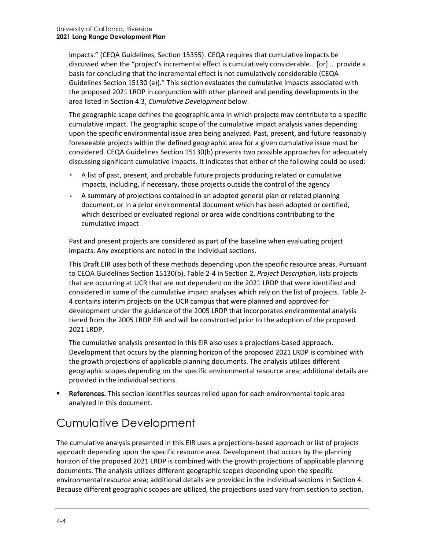impacts." (CEQA Guidelines, Section 15355). CEQA requires that cumulative impacts be discussed when the "project's incremental effect is cumulatively considerable… [or] … provide a basis for concluding that the incremental effect is not cumulatively considerable (CEQA Guidelines Section 15130 (a))." This section evaluates the cumulative impacts associated with the proposed 2021 LRDP in conjunction with other planned and pending developments in the area listed in Section 4.3, *Cumulative Development* below.

The geographic scope defines the geographic area in which projects may contribute to a specific cumulative impact. The geographic scope of the cumulative impact analysis varies depending upon the specific environmental issue area being analyzed. Past, present, and future reasonably foreseeable projects within the defined geographic area for a given cumulative issue must be considered. CEQA Guidelines Section 15130(b) presents two possible approaches for adequately discussing significant cumulative impacts. It indicates that either of the following could be used:

- □ A list of past, present, and probable future projects producing related or cumulative impacts, including, if necessary, those projects outside the control of the agency
- A summary of projections contained in an adopted general plan or related planning document, or in a prior environmental document which has been adopted or certified, which described or evaluated regional or area wide conditions contributing to the cumulative impact

Past and present projects are considered as part of the baseline when evaluating project impacts. Any exceptions are noted in the individual sections.

This Draft EIR uses both of these methods depending upon the specific resource areas. Pursuant to CEQA Guidelines Section 15130(b), Table 2-4 in Section 2, *Project Description*, lists projects that are occurring at UCR that are not dependent on the 2021 LRDP that were identified and considered in some of the cumulative impact analyses which rely on the list of projects. Table 2- 4 contains interim projects on the UCR campus that were planned and approved for development under the guidance of the 2005 LRDP that incorporates environmental analysis tiered from the 2005 LRDP EIR and will be constructed prior to the adoption of the proposed 2021 LRDP.

The cumulative analysis presented in this EIR also uses a projections-based approach. Development that occurs by the planning horizon of the proposed 2021 LRDP is combined with the growth projections of applicable planning documents. The analysis utilizes different geographic scopes depending on the specific environmental resource area; additional details are provided in the individual sections.

 **References.** This section identifies sources relied upon for each environmental topic area analyzed in this document.

# Cumulative Development

The cumulative analysis presented in this EIR uses a projections-based approach or list of projects approach depending upon the specific resource area. Development that occurs by the planning horizon of the proposed 2021 LRDP is combined with the growth projections of applicable planning documents. The analysis utilizes different geographic scopes depending upon the specific environmental resource area; additional details are provided in the individual sections in Section 4. Because different geographic scopes are utilized, the projections used vary from section to section.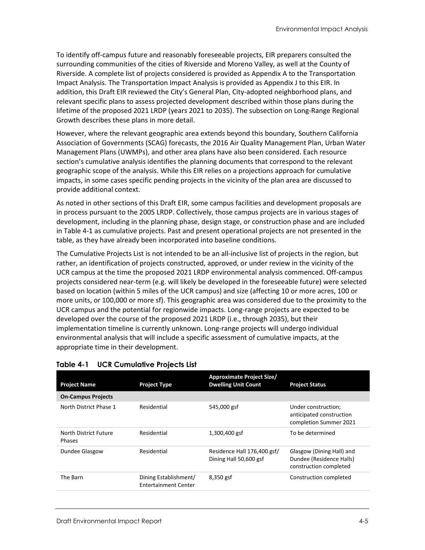To identify off-campus future and reasonably foreseeable projects, EIR preparers consulted the surrounding communities of the cities of Riverside and Moreno Valley, as well at the County of Riverside. A complete list of projects considered is provided as Appendix A to the Transportation Impact Analysis. The Transportation Impact Analysis is provided as Appendix J to this EIR. In addition, this Draft EIR reviewed the City's General Plan, City-adopted neighborhood plans, and relevant specific plans to assess projected development described within those plans during the lifetime of the proposed 2021 LRDP (years 2021 to 2035). The subsection on Long-Range Regional Growth describes these plans in more detail.

However, where the relevant geographic area extends beyond this boundary, Southern California Association of Governments (SCAG) forecasts, the 2016 Air Quality Management Plan, Urban Water Management Plans (UWMPs), and other area plans have also been considered. Each resource section's cumulative analysis identifies the planning documents that correspond to the relevant geographic scope of the analysis. While this EIR relies on a projections approach for cumulative impacts, in some cases specific pending projects in the vicinity of the plan area are discussed to provide additional context.

As noted in other sections of this Draft EIR, some campus facilities and development proposals are in process pursuant to the 2005 LRDP. Collectively, those campus projects are in various stages of development, including in the planning phase, design stage, or construction phase and are included in [Table 4-1](#page-4-0) as cumulative projects. Past and present operational projects are not presented in the table, as they have already been incorporated into baseline conditions.

The Cumulative Projects List is not intended to be an all-inclusive list of projects in the region, but rather, an identification of projects constructed, approved, or under review in the vicinity of the UCR campus at the time the proposed 2021 LRDP environmental analysis commenced. Off-campus projects considered near-term (e.g. will likely be developed in the foreseeable future) were selected based on location (within 5 miles of the UCR campus) and size (affecting 10 or more acres, 100 or more units, or 100,000 or more sf). This geographic area was considered due to the proximity to the UCR campus and the potential for regionwide impacts. Long-range projects are expected to be developed over the course of the proposed 2021 LRDP (i.e., through 2035), but their implementation timeline is currently unknown. Long-range projects will undergo individual environmental analysis that will include a specific assessment of cumulative impacts, at the appropriate time in their development.

| <b>Project Name</b>             | <b>Project Type</b>                                  | <b>Approximate Project Size/</b><br><b>Dwelling Unit Count</b> | <b>Project Status</b>                                                           |
|---------------------------------|------------------------------------------------------|----------------------------------------------------------------|---------------------------------------------------------------------------------|
| <b>On-Campus Projects</b>       |                                                      |                                                                |                                                                                 |
| North District Phase 1          | Residential                                          | 545,000 gsf                                                    | Under construction;<br>anticipated construction<br>completion Summer 2021       |
| North District Future<br>Phases | Residential                                          | 1,300,400 gsf                                                  | To be determined                                                                |
| Dundee Glasgow                  | Residential                                          | Residence Hall 176,400 gsf/<br>Dining Hall 50,600 gsf          | Glasgow (Dining Hall) and<br>Dundee (Residence Halls)<br>construction completed |
| The Barn                        | Dining Establishment/<br><b>Entertainment Center</b> | 8,350 gsf                                                      | Construction completed                                                          |

### <span id="page-4-0"></span>**Table 4-1 UCR Cumulative Projects List**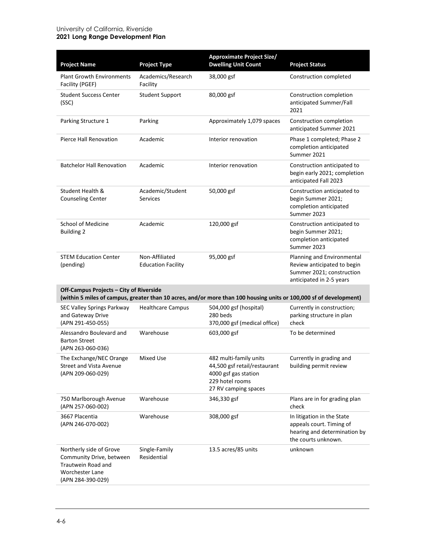#### University of California, Riverside **2021 Long Range Development Plan**

| <b>Project Name</b>                                                                                               | <b>Project Type</b>                         | <b>Approximate Project Size/</b><br><b>Dwelling Unit Count</b>                                                            | <b>Project Status</b>                                                                                              |
|-------------------------------------------------------------------------------------------------------------------|---------------------------------------------|---------------------------------------------------------------------------------------------------------------------------|--------------------------------------------------------------------------------------------------------------------|
| <b>Plant Growth Environments</b><br>Facility (PGEF)                                                               | Academics/Research<br>Facility              | 38,000 gsf                                                                                                                | Construction completed                                                                                             |
| <b>Student Success Center</b><br>(SSC)                                                                            | <b>Student Support</b>                      | 80,000 gsf                                                                                                                | Construction completion<br>anticipated Summer/Fall<br>2021                                                         |
| Parking Structure 1                                                                                               | Parking                                     | Approximately 1,079 spaces                                                                                                | Construction completion<br>anticipated Summer 2021                                                                 |
| Pierce Hall Renovation                                                                                            | Academic                                    | Interior renovation                                                                                                       | Phase 1 completed; Phase 2<br>completion anticipated<br>Summer 2021                                                |
| <b>Batchelor Hall Renovation</b>                                                                                  | Academic                                    | Interior renovation                                                                                                       | Construction anticipated to<br>begin early 2021; completion<br>anticipated Fall 2023                               |
| Student Health &<br><b>Counseling Center</b>                                                                      | Academic/Student<br><b>Services</b>         | 50,000 gsf                                                                                                                | Construction anticipated to<br>begin Summer 2021;<br>completion anticipated<br>Summer 2023                         |
| School of Medicine<br><b>Building 2</b>                                                                           | Academic                                    | 120,000 gsf                                                                                                               | Construction anticipated to<br>begin Summer 2021;<br>completion anticipated<br>Summer 2023                         |
| <b>STEM Education Center</b><br>(pending)                                                                         | Non-Affiliated<br><b>Education Facility</b> | 95,000 gsf                                                                                                                | Planning and Environmental<br>Review anticipated to begin<br>Summer 2021; construction<br>anticipated in 2-5 years |
| Off-Campus Projects - City of Riverside                                                                           |                                             | (within 5 miles of campus, greater than 10 acres, and/or more than 100 housing units or 100,000 sf of development)        |                                                                                                                    |
| SEC Valley Springs Parkway<br>and Gateway Drive<br>(APN 291-450-055)                                              | <b>Healthcare Campus</b>                    | 504,000 gsf (hospital)<br>280 beds<br>370,000 gsf (medical office)                                                        | Currently in construction;<br>parking structure in plan<br>check                                                   |
| Alessandro Boulevard and<br><b>Barton Street</b><br>(APN 263-060-036)                                             | Warehouse                                   | 603,000 gsf                                                                                                               | To be determined                                                                                                   |
| The Exchange/NEC Orange<br><b>Street and Vista Avenue</b><br>(APN 209-060-029)                                    | <b>Mixed Use</b>                            | 482 multi-family units<br>44,500 gsf retail/restaurant<br>4000 gsf gas station<br>229 hotel rooms<br>27 RV camping spaces | Currently in grading and<br>building permit review                                                                 |
| 750 Marlborough Avenue<br>(APN 257-060-002)                                                                       | Warehouse                                   | 346,330 gsf                                                                                                               | Plans are in for grading plan<br>check                                                                             |
| 3667 Placentia<br>(APN 246-070-002)                                                                               | Warehouse                                   | 308,000 gsf                                                                                                               | In litigation in the State<br>appeals court. Timing of<br>hearing and determination by<br>the courts unknown.      |
| Northerly side of Grove<br>Community Drive, between<br>Trautwein Road and<br>Worchester Lane<br>(APN 284-390-029) | Single-Family<br>Residential                | 13.5 acres/85 units                                                                                                       | unknown                                                                                                            |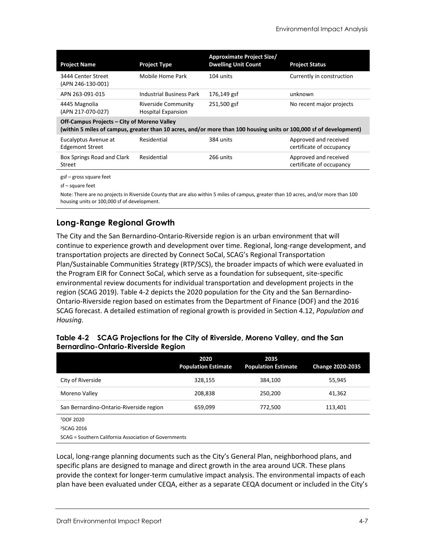| <b>Project Name</b>                                                                                                                                               | <b>Project Type</b>                                     | Approximate Project Size/<br><b>Dwelling Unit Count</b> | <b>Project Status</b>                             |  |  |
|-------------------------------------------------------------------------------------------------------------------------------------------------------------------|---------------------------------------------------------|---------------------------------------------------------|---------------------------------------------------|--|--|
| 3444 Center Street<br>(APN 246-130-001)                                                                                                                           | Mobile Home Park                                        | 104 units                                               | Currently in construction                         |  |  |
| APN 263-091-015                                                                                                                                                   | <b>Industrial Business Park</b>                         | 176,149 gsf                                             | unknown                                           |  |  |
| 4445 Magnolia<br>(APN 217-070-027)                                                                                                                                | <b>Riverside Community</b><br><b>Hospital Expansion</b> | 251,500 gsf                                             | No recent major projects                          |  |  |
| Off-Campus Projects - City of Moreno Valley<br>(within 5 miles of campus, greater than 10 acres, and/or more than 100 housing units or 100,000 sf of development) |                                                         |                                                         |                                                   |  |  |
| Eucalyptus Avenue at<br><b>Edgemont Street</b>                                                                                                                    | Residential                                             | 384 units                                               | Approved and received<br>certificate of occupancy |  |  |
| Box Springs Road and Clark<br>Street                                                                                                                              | Residential                                             | 266 units                                               | Approved and received<br>certificate of occupancy |  |  |
| gsf – gross square feet                                                                                                                                           |                                                         |                                                         |                                                   |  |  |

sf – square feet

Note: There are no projects in Riverside County that are also within 5 miles of campus, greater than 10 acres, and/or more than 100 housing units or 100,000 sf of development.

# **Long-Range Regional Growth**

The City and the San Bernardino-Ontario-Riverside region is an urban environment that will continue to experience growth and development over time. Regional, long-range development, and transportation projects are directed by Connect SoCal, SCAG's Regional Transportation Plan/Sustainable Communities Strategy (RTP/SCS), the broader impacts of which were evaluated in the Program EIR for Connect SoCal, which serve as a foundation for subsequent, site‐specific environmental review documents for individual transportation and development projects in the region (SCAG 2019). [Table 4-2](#page-6-0) depicts the 2020 population for the City and the San Bernardino-Ontario-Riverside region based on estimates from the Department of Finance (DOF) and the 2016 SCAG forecast. A detailed estimation of regional growth is provided in Section 4.12, *Population and Housing*.

|                                                       | 2020<br><b>Population Estimate</b> | 2035<br><b>Population Estimate</b> | <b>Change 2020-2035</b> |
|-------------------------------------------------------|------------------------------------|------------------------------------|-------------------------|
| City of Riverside                                     | 328,155                            | 384,100                            | 55,945                  |
| Moreno Valley                                         | 208,838                            | 250,200                            | 41,362                  |
| San Bernardino-Ontario-Riverside region               | 659,099                            | 772,500                            | 113,401                 |
| <sup>1</sup> DOF 2020                                 |                                    |                                    |                         |
| <sup>2</sup> SCAG 2016                                |                                    |                                    |                         |
| SCAG = Southern California Association of Governments |                                    |                                    |                         |

#### <span id="page-6-0"></span>**Table 4-2 SCAG Projections for the City of Riverside, Moreno Valley, and the San Bernardino-Ontario-Riverside Region**

Local, long-range planning documents such as the City's General Plan, neighborhood plans, and specific plans are designed to manage and direct growth in the area around UCR. These plans provide the context for longer-term cumulative impact analysis. The environmental impacts of each plan have been evaluated under CEQA, either as a separate CEQA document or included in the City's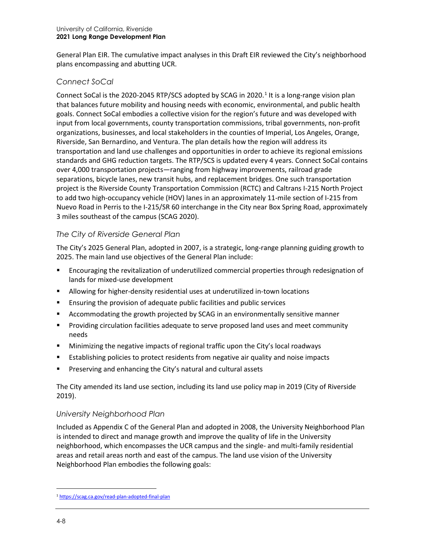General Plan EIR. The cumulative impact analyses in this Draft EIR reviewed the City's neighborhood plans encompassing and abutting UCR.

### *Connect SoCal*

Connect SoCal is the 2020-2045 RTP/SCS adopted by SCAG in 2020.<sup>[1](#page-7-0)</sup> It is a long-range vision plan that balances future mobility and housing needs with economic, environmental, and public health goals. Connect SoCal embodies a collective vision for the region's future and was developed with input from local governments, county transportation commissions, tribal governments, non-profit organizations, businesses, and local stakeholders in the counties of Imperial, Los Angeles, Orange, Riverside, San Bernardino, and Ventura. The plan details how the region will address its transportation and land use challenges and opportunities in order to achieve its regional emissions standards and GHG reduction targets. The RTP/SCS is updated every 4 years. Connect SoCal contains over 4,000 transportation projects—ranging from highway improvements, railroad grade separations, bicycle lanes, new transit hubs, and replacement bridges. One such transportation project is the Riverside County Transportation Commission (RCTC) and Caltrans I-215 North Project to add two high-occupancy vehicle (HOV) lanes in an approximately 11-mile section of I-215 from Nuevo Road in Perris to the I-215/SR 60 interchange in the City near Box Spring Road, approximately 3 miles southeast of the campus (SCAG 2020).

### *The City of Riverside General Plan*

The City's 2025 General Plan, adopted in 2007, is a strategic, long-range planning guiding growth to 2025. The main land use objectives of the General Plan include:

- Encouraging the revitalization of underutilized commercial properties through redesignation of lands for mixed-use development
- Allowing for higher-density residential uses at underutilized in-town locations
- Ensuring the provision of adequate public facilities and public services
- Accommodating the growth projected by SCAG in an environmentally sensitive manner
- **Providing circulation facilities adequate to serve proposed land uses and meet community** needs
- Minimizing the negative impacts of regional traffic upon the City's local roadways
- Establishing policies to protect residents from negative air quality and noise impacts
- Preserving and enhancing the City's natural and cultural assets

The City amended its land use section, including its land use policy map in 2019 (City of Riverside 2019).

## *University Neighborhood Plan*

Included as Appendix C of the General Plan and adopted in 2008, the University Neighborhood Plan is intended to direct and manage growth and improve the quality of life in the University neighborhood, which encompasses the UCR campus and the single- and multi-family residential areas and retail areas north and east of the campus. The land use vision of the University Neighborhood Plan embodies the following goals:

<span id="page-7-0"></span><sup>1</sup> <https://scag.ca.gov/read-plan-adopted-final-plan>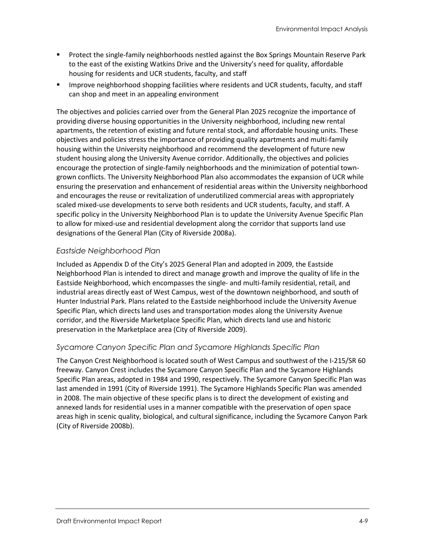- **Protect the single-family neighborhoods nestled against the Box Springs Mountain Reserve Park** to the east of the existing Watkins Drive and the University's need for quality, affordable housing for residents and UCR students, faculty, and staff
- **IMPROVE NET IMPROVE RESO** in the protocologies where residents and UCR students, faculty, and staff can shop and meet in an appealing environment

The objectives and policies carried over from the General Plan 2025 recognize the importance of providing diverse housing opportunities in the University neighborhood, including new rental apartments, the retention of existing and future rental stock, and affordable housing units. These objectives and policies stress the importance of providing quality apartments and multi-family housing within the University neighborhood and recommend the development of future new student housing along the University Avenue corridor. Additionally, the objectives and policies encourage the protection of single-family neighborhoods and the minimization of potential towngrown conflicts. The University Neighborhood Plan also accommodates the expansion of UCR while ensuring the preservation and enhancement of residential areas within the University neighborhood and encourages the reuse or revitalization of underutilized commercial areas with appropriately scaled mixed-use developments to serve both residents and UCR students, faculty, and staff. A specific policy in the University Neighborhood Plan is to update the University Avenue Specific Plan to allow for mixed-use and residential development along the corridor that supports land use designations of the General Plan (City of Riverside 2008a).

### *Eastside Neighborhood Plan*

Included as Appendix D of the City's 2025 General Plan and adopted in 2009, the Eastside Neighborhood Plan is intended to direct and manage growth and improve the quality of life in the Eastside Neighborhood, which encompasses the single- and multi-family residential, retail, and industrial areas directly east of West Campus, west of the downtown neighborhood, and south of Hunter Industrial Park. Plans related to the Eastside neighborhood include the University Avenue Specific Plan, which directs land uses and transportation modes along the University Avenue corridor, and the Riverside Marketplace Specific Plan, which directs land use and historic preservation in the Marketplace area (City of Riverside 2009).

#### *Sycamore Canyon Specific Plan and Sycamore Highlands Specific Plan*

The Canyon Crest Neighborhood is located south of West Campus and southwest of the I-215/SR 60 freeway. Canyon Crest includes the Sycamore Canyon Specific Plan and the Sycamore Highlands Specific Plan areas, adopted in 1984 and 1990, respectively. The Sycamore Canyon Specific Plan was last amended in 1991 (City of Riverside 1991). The Sycamore Highlands Specific Plan was amended in 2008. The main objective of these specific plans is to direct the development of existing and annexed lands for residential uses in a manner compatible with the preservation of open space areas high in scenic quality, biological, and cultural significance, including the Sycamore Canyon Park (City of Riverside 2008b).